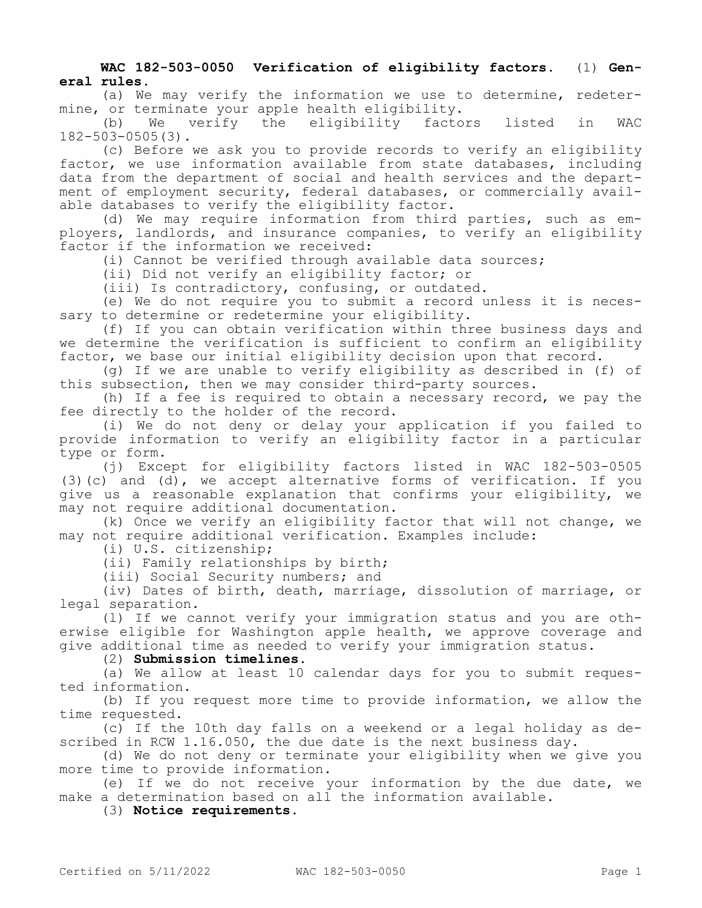## **WAC 182-503-0050 Verification of eligibility factors.** (1) **General rules.**

(a) We may verify the information we use to determine, redetermine, or terminate your apple health eligibility.<br>(b) We verify the eligibility facto

We verify the eligibility factors listed in WAC 182-503-0505(3).

(c) Before we ask you to provide records to verify an eligibility factor, we use information available from state databases, including data from the department of social and health services and the department of employment security, federal databases, or commercially available databases to verify the eligibility factor.

(d) We may require information from third parties, such as employers, landlords, and insurance companies, to verify an eligibility factor if the information we received:

(i) Cannot be verified through available data sources;

(ii) Did not verify an eligibility factor; or

(iii) Is contradictory, confusing, or outdated.

(e) We do not require you to submit a record unless it is necessary to determine or redetermine your eligibility.

(f) If you can obtain verification within three business days and we determine the verification is sufficient to confirm an eligibility factor, we base our initial eligibility decision upon that record.

(g) If we are unable to verify eligibility as described in (f) of this subsection, then we may consider third-party sources.

(h) If a fee is required to obtain a necessary record, we pay the fee directly to the holder of the record.

(i) We do not deny or delay your application if you failed to provide information to verify an eligibility factor in a particular type or form.

(j) Except for eligibility factors listed in WAC 182-503-0505 (3)(c) and (d), we accept alternative forms of verification. If you give us a reasonable explanation that confirms your eligibility, we may not require additional documentation.

(k) Once we verify an eligibility factor that will not change, we may not require additional verification. Examples include:

(i) U.S. citizenship;

(ii) Family relationships by birth;

(iii) Social Security numbers; and

(iv) Dates of birth, death, marriage, dissolution of marriage, or legal separation.

(l) If we cannot verify your immigration status and you are otherwise eligible for Washington apple health, we approve coverage and give additional time as needed to verify your immigration status.

(2) **Submission timelines.**

(a) We allow at least 10 calendar days for you to submit requested information.

(b) If you request more time to provide information, we allow the time requested.

(c) If the 10th day falls on a weekend or a legal holiday as described in RCW 1.16.050, the due date is the next business day.

(d) We do not deny or terminate your eligibility when we give you more time to provide information.

(e) If we do not receive your information by the due date, we make a determination based on all the information available.

(3) **Notice requirements.**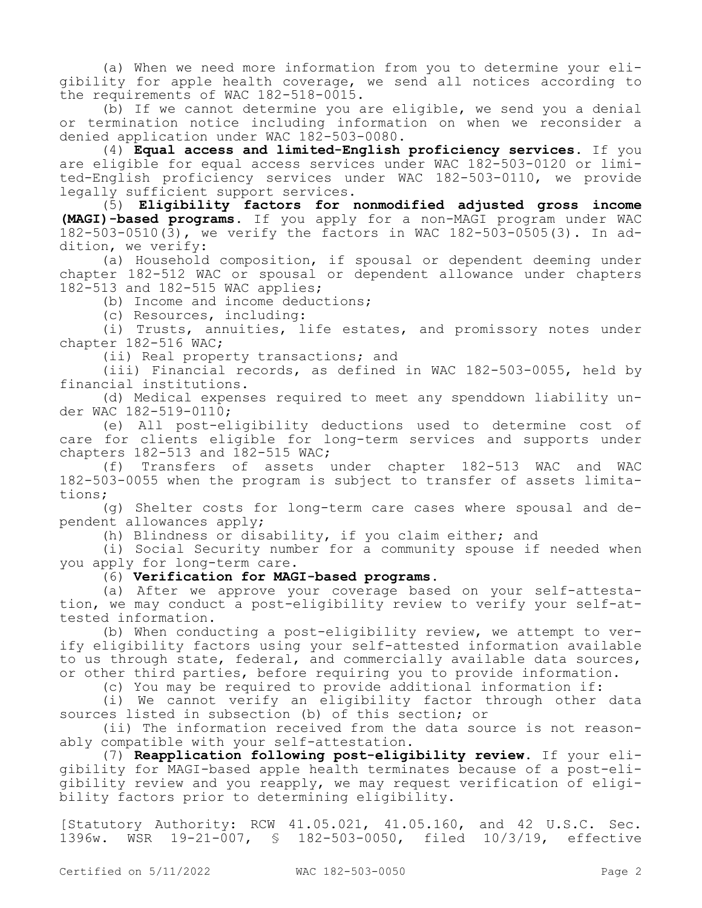(a) When we need more information from you to determine your eligibility for apple health coverage, we send all notices according to the requirements of WAC 182-518-0015.

(b) If we cannot determine you are eligible, we send you a denial or termination notice including information on when we reconsider a denied application under WAC 182-503-0080.

(4) **Equal access and limited-English proficiency services.** If you are eligible for equal access services under WAC 182-503-0120 or limited-English proficiency services under WAC 182-503-0110, we provide legally sufficient support services.

(5) **Eligibility factors for nonmodified adjusted gross income (MAGI)-based programs.** If you apply for a non-MAGI program under WAC 182-503-0510(3), we verify the factors in WAC 182-503-0505(3). In addition, we verify:

(a) Household composition, if spousal or dependent deeming under chapter 182-512 WAC or spousal or dependent allowance under chapters 182-513 and 182-515 WAC applies;

(b) Income and income deductions;

(c) Resources, including:

(i) Trusts, annuities, life estates, and promissory notes under chapter 182-516 WAC;

(ii) Real property transactions; and

(iii) Financial records, as defined in WAC 182-503-0055, held by financial institutions.

(d) Medical expenses required to meet any spenddown liability under WAC 182-519-0110;

(e) All post-eligibility deductions used to determine cost of care for clients eligible for long-term services and supports under chapters 182-513 and 182-515 WAC;

(f) Transfers of assets under chapter 182-513 WAC and WAC 182-503-0055 when the program is subject to transfer of assets limitations;

(g) Shelter costs for long-term care cases where spousal and dependent allowances apply;

(h) Blindness or disability, if you claim either; and

(i) Social Security number for a community spouse if needed when you apply for long-term care.

## (6) **Verification for MAGI-based programs.**

(a) After we approve your coverage based on your self-attestation, we may conduct a post-eligibility review to verify your self-attested information.

(b) When conducting a post-eligibility review, we attempt to verify eligibility factors using your self-attested information available to us through state, federal, and commercially available data sources, or other third parties, before requiring you to provide information.

(c) You may be required to provide additional information if:

(i) We cannot verify an eligibility factor through other data sources listed in subsection (b) of this section; or

(ii) The information received from the data source is not reasonably compatible with your self-attestation.

(7) **Reapplication following post-eligibility review.** If your eligibility for MAGI-based apple health terminates because of a post-eligibility review and you reapply, we may request verification of eligibility factors prior to determining eligibility.

[Statutory Authority: RCW 41.05.021, 41.05.160, and 42 U.S.C. Sec. 1396w. WSR 19-21-007, § 182-503-0050, filed 10/3/19, effective